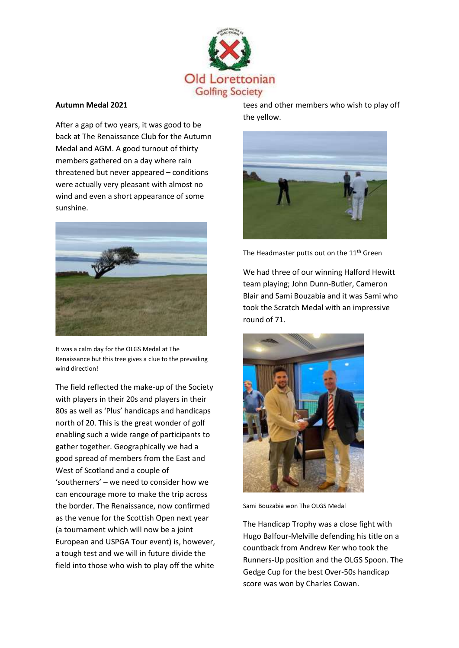

## **Autumn Medal 2021**

After a gap of two years, it was good to be back at The Renaissance Club for the Autumn Medal and AGM. A good turnout of thirty members gathered on a day where rain threatened but never appeared – conditions were actually very pleasant with almost no wind and even a short appearance of some sunshine.



It was a calm day for the OLGS Medal at The Renaissance but this tree gives a clue to the prevailing wind direction!

The field reflected the make-up of the Society with players in their 20s and players in their 80s as well as 'Plus' handicaps and handicaps north of 20. This is the great wonder of golf enabling such a wide range of participants to gather together. Geographically we had a good spread of members from the East and West of Scotland and a couple of 'southerners' – we need to consider how we can encourage more to make the trip across the border. The Renaissance, now confirmed as the venue for the Scottish Open next year (a tournament which will now be a joint European and USPGA Tour event) is, however, a tough test and we will in future divide the field into those who wish to play off the white

tees and other members who wish to play off the yellow.



The Headmaster putts out on the 11<sup>th</sup> Green

We had three of our winning Halford Hewitt team playing; John Dunn-Butler, Cameron Blair and Sami Bouzabia and it was Sami who took the Scratch Medal with an impressive round of 71.



Sami Bouzabia won The OLGS Medal

The Handicap Trophy was a close fight with Hugo Balfour-Melville defending his title on a countback from Andrew Ker who took the Runners-Up position and the OLGS Spoon. The Gedge Cup for the best Over-50s handicap score was won by Charles Cowan.